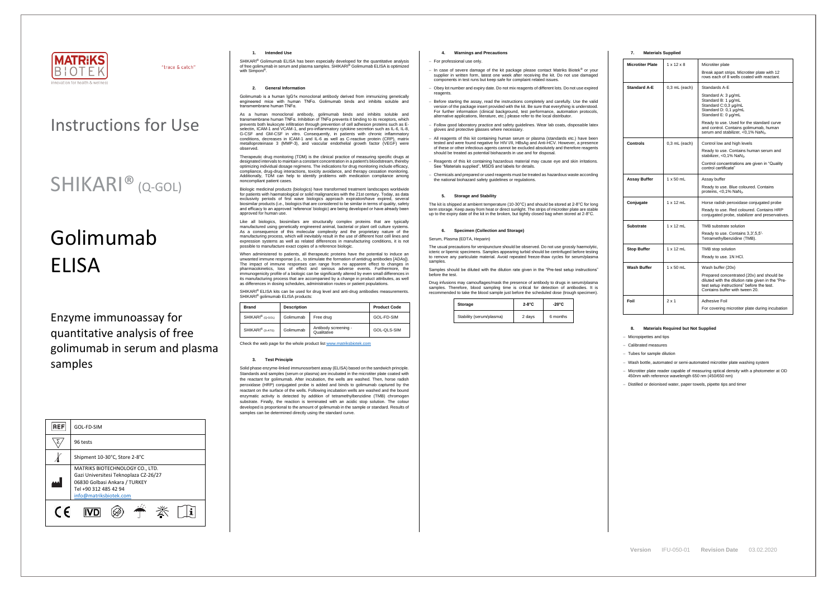

"trace & catch"

# Instructions for Use

# SHIKARI<sup>®</sup> (Q-GOL)

# Golimumab ELISA

Enzyme immunoassay for quantitative analysis of free golimumab in serum and plasma samples

| <b>REF</b> | GOL-FD-SIM                                                                                                                                                   |  |  |
|------------|--------------------------------------------------------------------------------------------------------------------------------------------------------------|--|--|
|            | 96 tests                                                                                                                                                     |  |  |
|            | Shipment 10-30°C, Store 2-8°C                                                                                                                                |  |  |
|            | MATRIKS BIOTECHNOLOGY CO., LTD.<br>Gazi Universitesi Teknoplaza CZ-26/27<br>06830 Golbasi Ankara / TURKEY<br>Tel +90 312 485 42 94<br>info@matriksbiotek.com |  |  |
| $\epsilon$ |                                                                                                                                                              |  |  |

### **1. Intended Use**

SHIKARI® Golimumab ELISA has been especially developed for the quantitative analysis<br>of free golimumab in serum and plasma samples. SHIKARI® Golimumab ELISA is optimized with Simponi<sup>®</sup>.

## **2. General Information**

Golimumab is a human IgG1κ monoclonal antibody derived from immunizing genetically engineered mice with human TNFα. Golimumab binds and inhibits soluble and transmembrane human TNFα.

As a human monoclonal antibody, golimumab binds and inhibits soluble and transmembrane human TNFα. Inhibition of TNFα prevents it binding to its receptors, which prevents both leukocyte infiltration through prevention of cell adhesion proteins such as E-selectin, ICAM-1 and VCAM-1, and pro-inflammatory cytokine secretion such as IL-6, IL-8, G-CSF and GM-CSF in vitro. Consequently, in patients with chronic inflammatory conditions, decreases in ICAM-1 and IL-6 as well as C-reactive protein (CRP), matrix metalloproteinase 3 (MMP-3), and vascular endothelial growth factor (VEGF) were observed.

Therapeutic drug monitoring (TDM) is the clinical practice of measuring specific drugs at designated intervals to maintain a constant concentration in a patient's bloodstream, thereby optimizing individual dosage regimens. The indications for drug monitoring include efficacy, compliance, drug-drug interactions, toxicity avoidance, and therapy cessation monitoring. Additionally, TDM can help to identify problems with medication compliance among noncompliant patient cases.

When administered to patients, all therapeutic proteins have the potential to induce an unwanted immune response (i.e., to stimulate the formation of antidrug antibodies [ADAs]). The impact of immune responses can range from no apparent effect to changes in pharmacokinetics, loss of effect and serious adverse events. Furthermore, the immunogenicity profile of a biologic can be significantly altered by even small differences in its manufacturing process that are accompanied by a change in product attributes, as well as differences in dosing schedules, administration routes or patient populations.

SHIKARI® ELISA kits can be used for drug level and anti-drug antibodies measurements. SHIKARI<sup>®</sup> golimumab ELISA products:

Biologic medicinal products (biologics) have transformed treatment landscapes worldwide for patients with haematological or solid malignancies with the 21st century. Today, as data exclusivity periods of first wave biologics approach expiration/have expired, several biosimilar products (i.e., biologics that are considered to be similar in terms of quality, safety and efficacy to an approved 'reference' biologic) are being developed or have already been approved for human use.

Like all biologics, biosimilars are structurally complex proteins that are typically manufactured using genetically engineered animal, bacterial or plant cell culture systems. As a consequence of this molecular complexity and the proprietary nature of the manufacturing process, which will inevitably result in the use of different host cell lines and expression systems as well as related differences in manufacturing conditions, it is not possible to manufacture exact copies of a reference biologic.

The usual precautions for venipuncture should be observed. Do not use grossly haemolytic, icteric or lipemic specimens. Samples appearing turbid should be centrifuged before testing to remove any particulate material. Avoid repeated freeze-thaw cycles for serum/plasma samples

| <b>Brand</b>                 | <b>Description</b> | <b>Product Code</b>                 |             |
|------------------------------|--------------------|-------------------------------------|-------------|
| SHIKARI <sup>®</sup> (Q-GOL) | Golimumab          | Free drug                           | GOL-FD-SIM  |
| SHIKARI <sup>®</sup> (S-ATG) | Golimumab          | Antibody screening -<br>Qualitative | GOL-QLS-SIM |

Check the web page for the whole product lis[t www.matriksbiotek.com](http://www.matriksbiotek.com/)

#### **3. Test Principle**

Solid phase enzyme-linked immunosorbent assay (ELISA) based on the sandwich principle. Standards and samples (serum or plasma) are incubated in the microtiter plate coated with the reactant for golimumab. After incubation, the wells are washed. Then, horse radish peroxidase (HRP) conjugated probe is added and binds to golimumab captured by the reactant on the surface of the wells. Following incubation wells are washed and the bound enzymatic activity is detected by addition of tetramethylbenzidine (TMB) chromogen substrate. Finally, the reaction is terminated with an acidic stop solution. The colour developed is proportional to the amount of golimumab in the sample or standard. Results of samples can be determined directly using the standard curve.

# **4. Warnings and Precautions**

#### − For professional use only.

- − In case of severe damage of the kit package please contact Matriks Biotek® or your supplier in written form, latest one week after receiving the kit. Do not use damaged components in test runs but keep safe for complaint related issues.
- Obey lot number and expiry date. Do not mix reagents of different lots. Do not use expired reagents
- − Before starting the assay, read the instructions completely and carefully. Use the valid version of the package insert provided with the kit. Be sure that everything is understood. For further information (clinical background, test performance, automation protocols, alternative applications, literature, etc.) please refer to the local distributor.
- − Follow good laboratory practice and safety guidelines. Wear lab coats, disposable latex gloves and protective glasses where necessary.
- All reagents of this kit containing human serum or plasma (standards etc.) have been tested and were found negative for HIV I/II, HBsAg and Anti-HCV. However, a presence of these or other infectious agents cannot be excluded absolutely and therefore reagents should be treated as potential biohazards in use and for disposal.
- − Reagents of this kit containing hazardous material may cause eye and skin irritations. See "Materials supplied", MSDS and labels for details.
- − Chemicals and prepared or used reagents must be treated as hazardous waste according the national biohazard safety guidelines or regulations.

# **5. Storage and Stability**

The kit is shipped at ambient temperature (10-30°C) and should be stored at 2-8°C for long term storage. Keep away from heat or direct sunlight. The strips of microtiter plate are stable up to the expiry date of the kit in the broken, but tightly closed bag when stored at 2-8°C.

#### **6. Specimen (Collection and Storage)**

#### Serum, Plasma (EDTA, Heparin)

Samples should be diluted with the dilution rate given in the "Pre-test setup instructions" before the test.

Drug infusions may camouflages/mask the presence of antibody to drugs in serum/plasma samples. Therefore, blood sampling time is critical for detection of antibodies. It is recommended to take the blood sample just before the scheduled dose (trough specimen).

| Storage                  | $2-8$ °C | $-20^{\circ}$ C |
|--------------------------|----------|-----------------|
| Stability (serum/plasma) | 2 days   | 6 months        |

#### **7. Materials Supplied**

| <b>Microtiter Plate</b>                | $1 \times 12 \times 8$ | Microtiter plate                                                                                                                                                              |
|----------------------------------------|------------------------|-------------------------------------------------------------------------------------------------------------------------------------------------------------------------------|
|                                        |                        | Break apart strips. Microtiter plate with 12<br>rows each of 8 wells coated with reactant.                                                                                    |
| <b>Standard A-E</b><br>$0.3$ mL (each) |                        | Standards A-E                                                                                                                                                                 |
|                                        |                        | Standard A: 3 µg/mL<br>Standard B: 1 µg/mL<br>Standard C:0,3 µg/mL<br>Standard D: 0,1 µg/mL<br>Standard E: 0 µg/mL                                                            |
|                                        |                        | Ready to use. Used for the standard curve<br>and control. Contains golimumab, human<br>serum and stabilizer, <0,1% NaN <sub>3</sub> .                                         |
| Controls                               | $0.3$ mL (each)        | Control low and high levels                                                                                                                                                   |
|                                        |                        | Ready to use. Contains human serum and<br>stabilizer, <0,1% NaN <sub>3</sub> .                                                                                                |
|                                        |                        | Control concentrations are given in "Quality"<br>control certificate"                                                                                                         |
| Assay Buffer                           | $1 \times 50$ mL       | Assay buffer                                                                                                                                                                  |
|                                        |                        | Ready to use. Blue coloured. Contains<br>proteins, $< 0.1\%$ NaN <sub>3</sub> .                                                                                               |
| Conjugate                              | $1 \times 12$ mL       | Horse radish peroxidase conjugated probe                                                                                                                                      |
|                                        |                        | Ready to use. Red coloured. Contains HRP<br>conjugated probe, stabilizer and preservatives.                                                                                   |
| Substrate                              | $1 \times 12$ mL       | TMB substrate solution                                                                                                                                                        |
|                                        |                        | Ready to use. Contains 3,3',5,5'-<br>Tetramethylbenzidine (TMB).                                                                                                              |
| <b>Stop Buffer</b>                     | $1 \times 12$ mL       | TMB stop solution                                                                                                                                                             |
|                                        |                        | Ready to use. 1N HCI.                                                                                                                                                         |
| Wash Buffer                            | $1 \times 50$ mL       | Wash buffer (20x)                                                                                                                                                             |
|                                        |                        | Prepared concentrated (20x) and should be<br>diluted with the dilution rate given in the "Pre-<br>test setup instructions" before the test.<br>Contains buffer with tween 20. |
| Foil                                   | $2 \times 1$           | Adhesive Foil                                                                                                                                                                 |
|                                        |                        | For covering microtiter plate during incubation                                                                                                                               |

# **8. Materials Required but Not Supplied**

− Micropipettes and tips

− Calibrated measures

− Tubes for sample dilution

− Wash bottle, automated or semi-automated microtiter plate washing system

− Microtiter plate reader capable of measuring optical density with a photometer at OD 450nm with reference wavelength 650 nm (450/650 nm)

− Distilled or deionised water, paper towels, pipette tips and timer